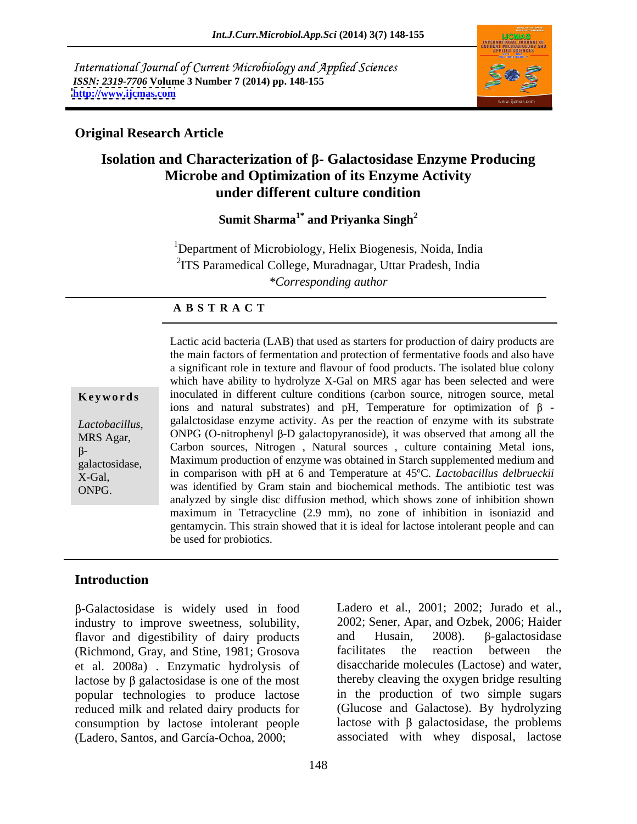International Journal of Current Microbiology and Applied Sciences *ISSN: 2319-7706* **Volume 3 Number 7 (2014) pp. 148-155 <http://www.ijcmas.com>**



### **Original Research Article**

## **Isolation and Characterization of - Galactosidase Enzyme Producing Microbe and Optimization of its Enzyme Activity under different culture condition**

Sumit Sharma<sup>1\*</sup> and Privanka Singh<sup>2</sup> **and Priyanka Singh<sup>2</sup>**

<sup>1</sup>Department of Microbiology, Helix Biogenesis, Noida, India <sup>2</sup>ITS Paramedical College, Muradnagar, Uttar Pradesh, India *\*Corresponding author* 

### **A B S T R A C T**

**Keywords** inoculated in different culture conditions (carbon source, nitrogen source, metal *Lactobacillus*, galactosidase enzyme activity. As per the reaction of enzyme with its substrate<br>MRS Agar, ONPG (O-nitrophenyl β-D galactopyranoside), it was observed that among all the<br>β-<br>*β*galactosidase, Maximum production of enzyme was obtained in Starch supplemented medium and X-Gal, in comparison with pH at 6 and Temperature at 45ºC. *Lactobacillus delbrueckii* Lactic acid bacteria (LAB) that used as starters for production of dairy products are<br>the main factors of fermentation and protection of fermentative foods and also have<br>a significant role in exture and flavour of food pr the main factors of fermentation and protection of fermentative foods and also have a significant role in texture and flavour of food products. The isolated blue colony which have ability to hydrolyze X-Gal on MRS agar has been selected and were ions and natural substrates) and pH, Temperature for optimization of  $\beta$  galalctosidase enzyme activity. As per the reaction of enzyme with its substrate ONPG (O-nitrophenyl  $\beta$ -D galactopyranoside), it was observed that among all the was identified by Gram stain and biochemical methods. The antibiotic test was analyzed by single disc diffusion method, which shows zone of inhibition shown maximum in Tetracycline (2.9 mm), no zone of inhibition in isoniazid and gentamycin. This strain showed that it is ideal for lactose intolerant people and can be used for probiotics.

### **Introduction**

-Galactosidase is widely used in food industry to improve sweetness, solubility, 2002; Sener, Apar, and Ozbek, 2006; Haider flavor and digestibility of dairy products and Husain, 2008).  $\beta$ -galactosidase flavor and digestibility of dairy products and Husain, (Richmond, Gray, and Stine, 1981; Grosova et al. 2008a) . Enzymatic hydrolysis of lactose by  $\beta$  galactosidase is one of the most popular technologies to produce lactose reduced milk and related dairy products for consumption by lactose intolerant people (Ladero, Santos, and García-Ochoa, 2000;

Ladero et al., 2001; 2002; Jurado et al., 2002; Sener, Apar, and Ozbek, 2006; Haider and Husain, 2008).  $\beta$ -galactosidase facilitates the reaction between the disaccharide molecules (Lactose) and water, thereby cleaving the oxygen bridge resulting in the production of two simple sugars (Glucose and Galactose). By hydrolyzing lactose with  $\beta$  galactosidase, the problems associated with whey disposal, lactose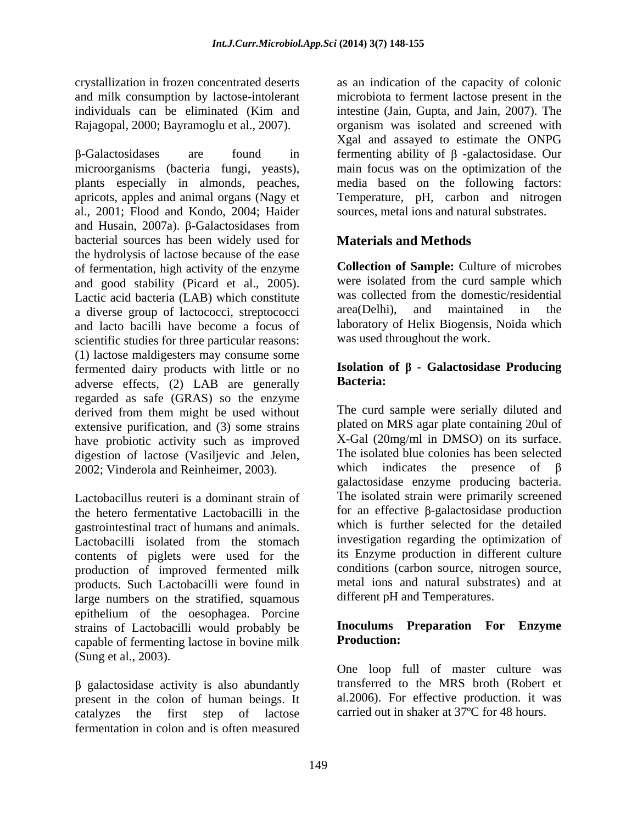microorganisms (bacteria fungi, yeasts), main focus was on the optimization of the plants especially in almonds, peaches, apricots, apples and animal organs (Nagy et Temperature, pH, carbon and nitrogen al., 2001; Flood and Kondo, 2004; Haider and Husain, 2007a).  $\beta$ -Galactosidases from bacterial sources has been widely used for the hydrolysis of lactose because of the ease of fermentation, high activity of the enzyme and good stability (Picard et al., 2005). Were isolated from the curd sample which<br>Lactic acid bacteria (LAB) which constitute was collected from the domestic/residential a diverse group of lactococci, streptococci area(Delhi), and maintained in the and lacto bacilli have become a focus of scientific studies for three particular reasons: (1) lactose maldigesters may consume some fermented dairy products with little or no<br>adverse effects  $(2)$  JAB are generally **Bacteria:** adverse effects, (2) LAB are generally regarded as safe (GRAS) so the enzyme derived from them might be used without extensive purification, and (3) some strains have probiotic activity such as improved digestion of lactose (Vasiljevic and Jelen,<br>
The isolated blue colonies has been selected<br>
2002: Vinderola and Reinheimer 2003) which indicates the presence of B 2002; Vinderola and Reinheimer, 2003).

Lactobacillus reuteri is a dominant strain of the hetero fermentative Lactobacilli in the gastrointestinal tract of humans and animals. Lactobacilli isolated from the stomach contents of piglets were used for the production of improved fermented milk products. Such Lactobacilli were found in large numbers on the stratified, squamous epithelium of the oesophagea. Porcine strains of Lactobacilli would probably be **Inoculums**<br>canable of fermenting lactose in boying milk **Production:** capable of fermenting lactose in bovine milk (Sung et al., 2003).

 $\beta$  galactosidase activity is also abundantly present in the colon of human beings. It catalyzes the first step of lactose carried out in shaker at 37ºC for 48 hours.fermentation in colon and is often measured

crystallization in frozen concentrated deserts as an indication of the capacity of colonic and milk consumption by lactose-intolerant microbiota to ferment lactose present in the individuals can be eliminated (Kim and intestine (Jain, Gupta, and Jain, 2007). The Rajagopal, 2000; Bayramoglu et al., 2007). organism was isolated and screened with  $-Galactosidases$  are found in fermenting ability of  $\beta$  -galactosidase. Our Xgal and assayed to estimate the ONPG media based on the following factors: sources, metal ions and natural substrates.

### **Materials and Methods**

**Collection of Sample:** Culture of microbes were isolated from the curd sample which was collected from the domestic/residential area(Delhi), and maintained in the laboratory of Helix Biogensis, Noida which was used throughout the work.

### **Isolation of - Galactosidase Producing Bacteria:**

The curd sample were serially diluted and plated on MRS agar plate containing 20ul of X-Gal (20mg/ml in DMSO) on its surface. The isolated blue colonies has been selected which indicates the presence of galactosidase enzyme producing bacteria. The isolated strain were primarily screened for an effective  $\beta$ -galactosidase production which is further selected for the detailed investigation regarding the optimization of its Enzyme production in different culture conditions (carbon source, nitrogen source, metal ions and natural substrates) and at different pH and Temperatures.

### **Inoculums Preparation For Enzyme Production:**

One loop full of master culture was transferred to the MRS broth (Robert et al.2006). For effective production. it was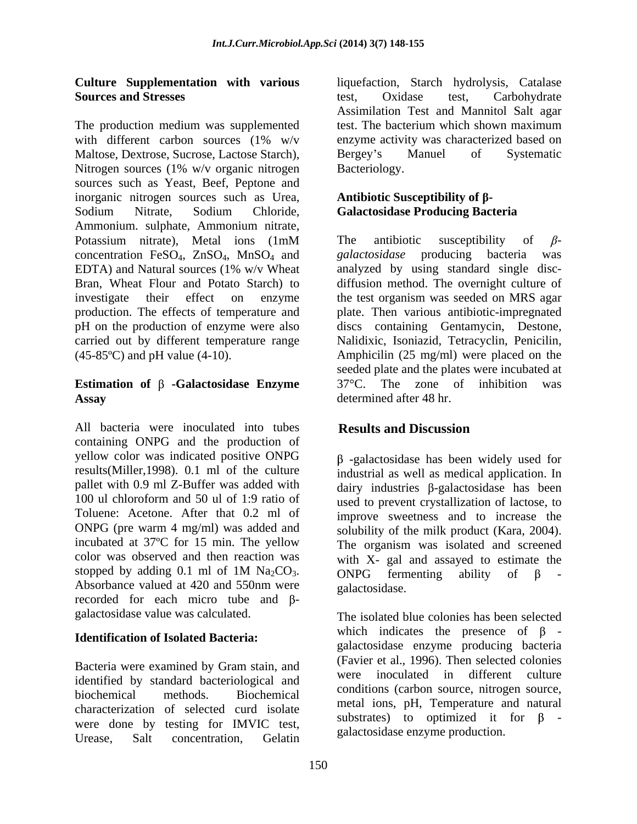The production medium was supplemented with different carbon sources (1% w/v enzyme activity was characterized based on Maltose, Dextrose, Sucrose, Lactose Starch), Bergey's Manuel of Systematic Nitrogen sources (1% w/v organic nitrogen Bacteriology. sources such as Yeast, Beef, Peptone and inorganic nitrogen sources such as Urea, Sodium Nitrate, Sodium Chloride, Galactosidase Producing Bacteria Ammonium. sulphate, Ammonium nitrate, Potassium nitrate), Metal ions (1mM The antibiotic susceptibility of  $\beta$ concentration FeSO<sub>4</sub>, ZnSO<sub>4</sub>, MnSO<sub>4</sub> and galactosidase producing bacteria was EDTA) and Natural sources (1% w/v Wheat analyzed by using standard single disc-EDTA) and Natural sources (1% w/v Wheat analyzed by using standard single disc- Bran, Wheat Flour and Potato Starch) to diffusion method. The overnight culture of investigate their effect on enzyme the test organism was seeded on MRS agar production. The effects of temperature and pH on the production of enzyme were also discs containing Gentamycin, Destone, carried out by different temperature range Nalidixic, Isoniazid, Tetracyclin, Penicilin, (45-85ºC) and pH value (4-10). Amphicilin (25 mg/ml) were placed on the

# Assay determined after 48 hr.

All bacteria were inoculated into tubes **Results and Discussion** containing ONPG and the production of yellow color was indicated positive ONPG results(Miller,1998). 0.1 ml of the culture pallet with 0.9 ml Z-Buffer was added with dairy industries  $\beta$ -galactosidase has been 100 ul chloroform and 50 ul of 1:9 ratio of used to prevent crystallization of lactose, to Toluene: Acetone. After that 0.2 ml of improve sweetness and to increase the ONPG (pre warm 4 mg/ml) was added and incubated at 37ºC for 15 min. The yellow color was observed and then reaction was with  $X$ - gal and assayed to estimate the stopped by adding 0.1 ml of 1M Na<sub>2</sub>CO<sub>3</sub>. ONPG fermenting ability of  $\beta$  -<br>Absorbance valued at 420 and 550nm were galactosidase. recorded for each micro tube and Bgalactosidase value was calculated.

### **Identification of Isolated Bacteria:**

Bacteria were examined by Gram stain, and Travie identified by standard bacteriological and characterization of selected curd isolate were done by testing for IMVIC test, Urease, Salt concentration, Gelatin Salactosia e enzyme production.

**Culture Supplementation with various** liquefaction, Starch hydrolysis, Catalase **Sources and Stresses Sources and Stresses Sources and Stresses Sources and Stresses Sources and Stresses Sources and Stresses Sources and Stresses Sources and Stresses Stresses Stresses Stresses Carb** test, Oxidase test, Carbohydrate Assimilation Test and Mannitol Salt agar test. The bacterium which shown maximum Bergey s Manuel of Systematic Bacteriology.

### **Antibiotic Susceptibility of - Galactosidase Producing Bacteria**

**Estimation of -Galactosidase Enzyme** The antibiotic susceptibility of  $\beta$ *galactosidase* producing bacteria plate. Then various antibiotic-impregnated seeded plate and the plates were incubated at  $37^{\circ}$ C. The zone of inhibition determined after 48 hr.

### **Results and Discussion**

 $\beta$  -galactosidase has been widely used for industrial as well as medical application. In solubility of the milk product (Kara, 2004). The organism was isolated and screened ONPG fermenting ability of  $\beta$  -

biochemical methods. Biochemical conditions (carbon source, introgen source, biochemical metal ions, pH, Temperature and natural galactosidase.<br>The isolated blue colonies has been selected which indicates the presence of  $\beta$  galactosidase enzyme producing bacteria (Favier et al., 1996). Then selected colonies inoculated in different culture conditions (carbon source, nitrogen source, substrates) to optimized it for  $\beta$  galactosidase enzyme production.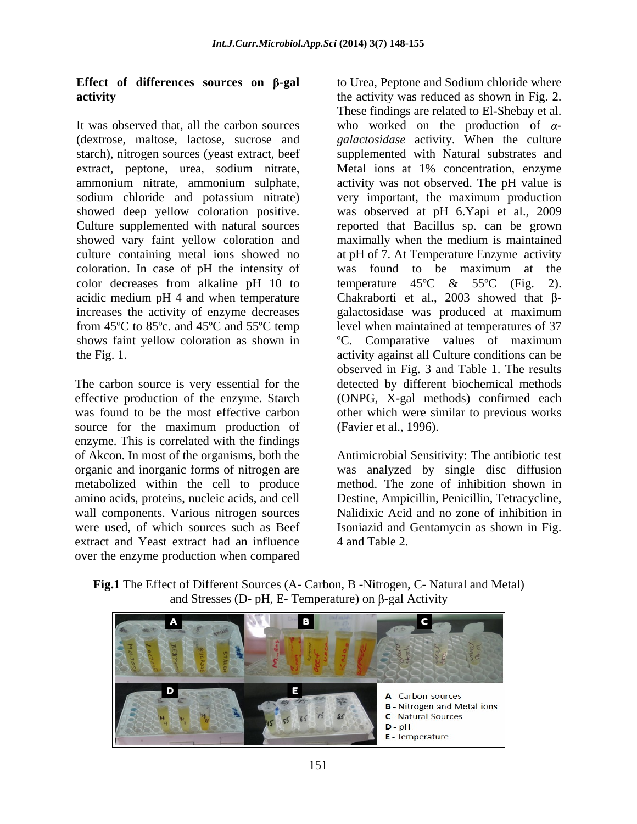starch), nitrogen sources (yeast extract, beef coloration. In case of pH the intensity of was found to be maximum at the color decreases from alkaline pH 10 to temperature  $45^{\circ}$ C &  $55^{\circ}$ C (Fig. 2).

source for the maximum production of enzyme. This is correlated with the findings extract and Yeast extract had an influence 4 and Table 2. over the enzyme production when compared

**Effect of differences sources on β-gal** to Urea, Peptone and Sodium chloride where **activity activity activity** was reduced as shown in Fig. 2. It was observed that, all the carbon sources who worked on the production of  $\alpha$ -(dextrose, maltose, lactose, sucrose and *galactosidase* activity. When the culture extract, peptone, urea, sodium nitrate, Metal ions at 1% concentration, enzyme ammonium nitrate, ammonium sulphate, activity was not observed. The pH value is sodium chloride and potassium nitrate) very important, the maximum production showed deep yellow coloration positive. was observed at pH 6.Yapi et al., 2009 Culture supplemented with natural sources reported that Bacillus sp. can be grown showed vary faint yellow coloration and maximally when the medium is maintained culture containing metal ions showed no at pH of 7. At Temperature Enzyme activity acidic medium pH 4 and when temperature Chakraborti et al., 2003 showed that  $\beta$ increases the activity of enzyme decreases galactosidase was produced at maximum from 45ºC to 85ºc. and 45ºC and 55ºC temp level when maintained at temperatures of37 shows faint yellow coloration as shown in ºC. Comparative values of maximum the Fig. 1. activity against all Culture conditions can be The carbon source is very essential for the detected by different biochemical methods effective production of the enzyme. Starch (ONPG, X-gal methods) confirmed each was found to be the most effective carbon other which were similar to previous works These findings are related to El-Shebay et al. supplemented with Natural substrates and was found to be maximum at the temperature  $45^{\circ}\text{C}$  &  $55^{\circ}\text{C}$  (Fig. 2). observed in Fig. 3 and Table 1. The results (Favier et al., 1996).

of Akcon. In most of the organisms, both the Antimicrobial Sensitivity: The antibiotic test organic and inorganic forms of nitrogen are was analyzed by single disc diffusion metabolized within the cell to produce method. The zone of inhibition shown in amino acids, proteins, nucleic acids, and cell Destine, Ampicillin, Penicillin, Tetracycline, wall components. Various nitrogen sources Nalidixic Acid and no zone of inhibition in were used, of which sources such as Beef Isoniazid and Gentamycin as shown in Fig. 4 and Table 2.

**Fig.1** The Effect of Different Sources (A- Carbon, B -Nitrogen, C- Natural and Metal) and Stresses (D- pH, E- Temperature) on  $\beta$ -gal Activity

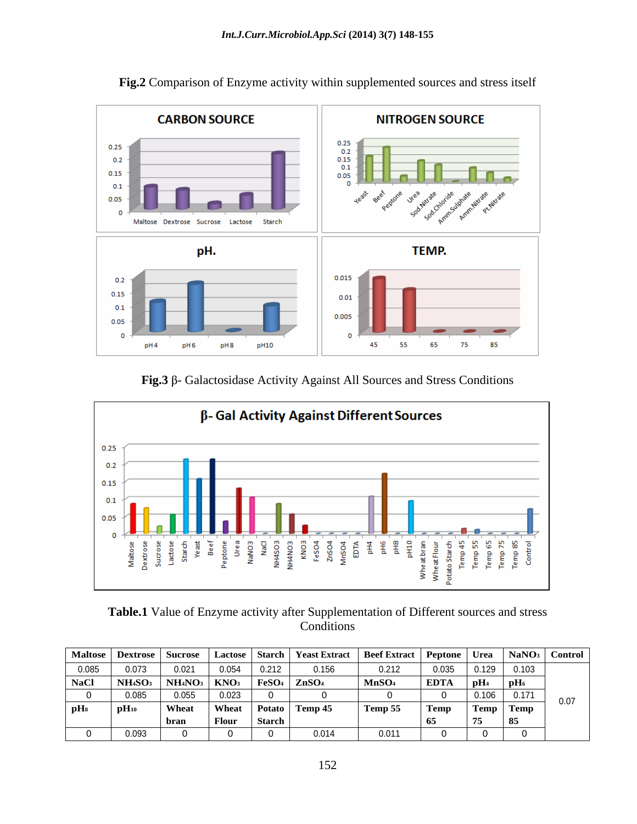

**Fig.2** Comparison of Enzyme activity within supplemented sources and stress itself

Fig.3  $\beta$ - Galactosidase Activity Against All Sources and Stress Conditions



**Table.1** Value of Enzyme activity after Supplementation of Different sources and stress **Conditions** 

|                             |                        | Maltose   Dextrose   Sucrose |                                                                                                   |        | Lactose   Starch   Yeast Extract | $\Box$ Beef Extract   Peptone   Urea   NaNO <sub>3</sub>   Control |                |                 |      |
|-----------------------------|------------------------|------------------------------|---------------------------------------------------------------------------------------------------|--------|----------------------------------|--------------------------------------------------------------------|----------------|-----------------|------|
| 0.085                       | <u>በ በ73</u><br>ט וט ט | 0.02<br>v.ve                 | 0.054<br>−יט.ט                                                                                    | 0.414  | 0.156                            | 0.212<br>0.614                                                     | 0.025<br>u.uuu | $0.129$ $0.103$ |      |
| <b>NaCl</b>                 | N <sub>H4SO3</sub>     |                              | $_3$   NH <sub>4</sub> NO <sub>3</sub>   KNO <sub>3</sub>   FeSO <sub>4</sub>   ZnSO <sub>4</sub> |        |                                  | MnSO <sub>4</sub>                                                  | <b>EDTA</b>    | <u>і п</u> Н    |      |
|                             | n nor<br>v.vvv         | 0.055                        | 0.023                                                                                             |        |                                  |                                                                    |                | 0.171           | 0.07 |
| $\mathbf{p}$ H <sub>8</sub> | $pH_{10}$              | Whea.                        | Wheat   Potato   Temp 45                                                                          |        |                                  | Temp 55                                                            | l Temp         | Temp   Temp     |      |
|                             |                        | bran                         | Flour                                                                                             | Starch |                                  |                                                                    |                |                 |      |
|                             | 0.093                  |                              |                                                                                                   |        |                                  | $\bigcap$ $\bigcap$ $\bigcap$<br>0.01                              |                |                 |      |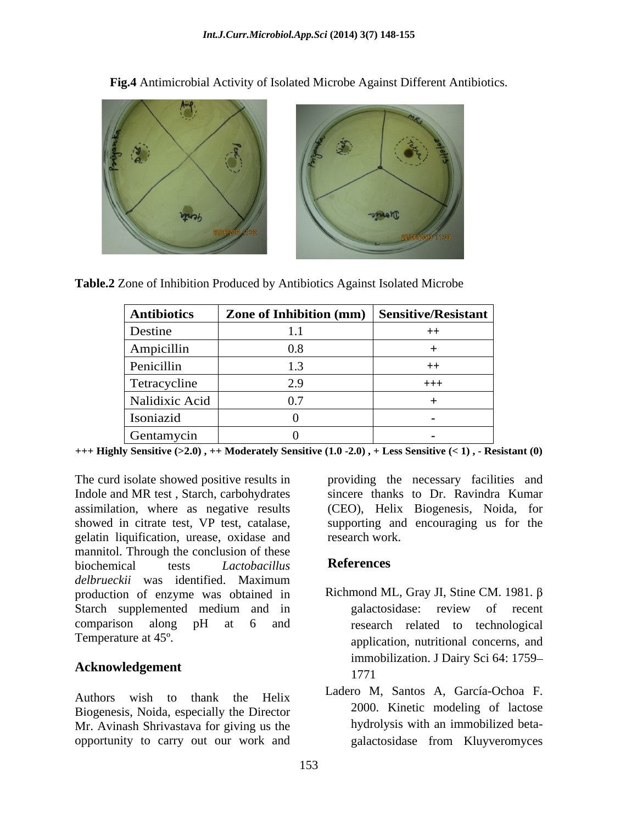

**Fig.4** Antimicrobial Activity of Isolated Microbe Against Different Antibiotics.

**Table.2** Zone of Inhibition Produced by Antibiotics Against Isolated Microbe

| <b>Antibiotics</b> | Zone of Inhibition (mm)   Sensitive/Resistant |  |
|--------------------|-----------------------------------------------|--|
| Destine            |                                               |  |
| Ampicillin         | $0.8\,$                                       |  |
| Penicillin         |                                               |  |
| Tetracycline       | 2. Q<br><u>، ، ،</u>                          |  |
| Nalidixic Acid     | 0.7                                           |  |
| Isoniazid          |                                               |  |
| Gentamycin         |                                               |  |

**+++ Highly Sensitive (>2.0) , ++ Moderately Sensitive (1.0 -2.0) , + Less Sensitive (< 1) , - Resistant (0)**

The curd isolate showed positive results in providing the necessary facilities and Indole and MR test , Starch, carbohydrates sincere thanks to Dr. Ravindra Kumar assimilation, where as negative results (CEO), Helix Biogenesis, Noida, for showed in citrate test, VP test, catalase, supporting and encouraging us for the gelatin liquification, urease, oxidase and mannitol. Through the conclusion of these<br>higher tests the *Lattobacillus* References biochemical tests *Lactobacillus delbrueckii* was identified. Maximum production of enzyme was obtained in Starch supplemented medium and in galactosidase: review of recent comparison along pH at 6 and research related to technological

## **Acknowledgement** 1771

Authors wish to thank the Helix Biogenesis, Noida, especially the Director Mr. Avinash Shrivastava for giving us the opportunity to carry out our work and

research work.

### **References**

- Temperature at 45°.  $\qquad \qquad \text{application, nutritional concerns, and}$ Richmond ML, Gray JI, Stine CM. 1981. galactosidase: review of recent immobilization. J Dairy Sci 64: 1759 1771
	- Ladero M, Santos A, García-Ochoa F. 2000. Kinetic modeling of lactose hydrolysis with an immobilized beta galactosidase from Kluyveromyces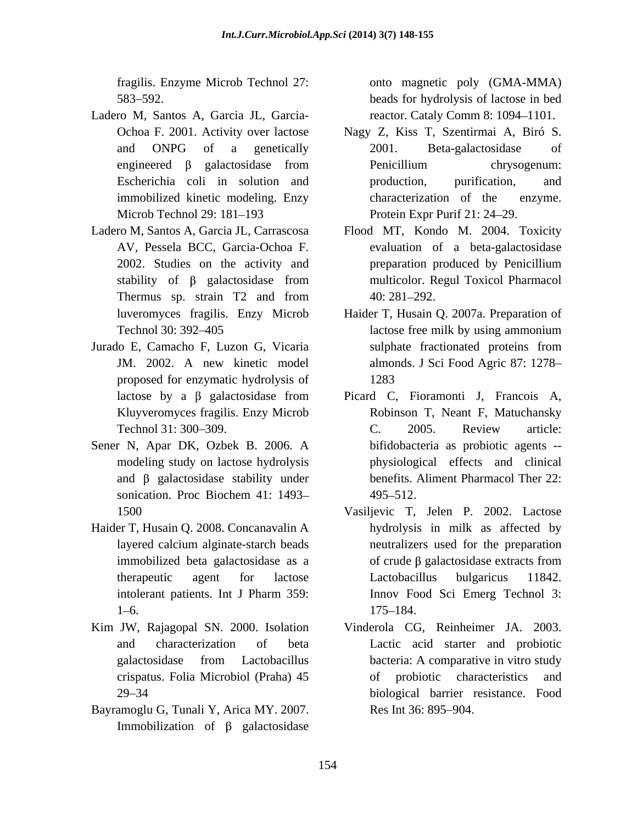- Ladero M, Santos A, Garcia JL, Garcia- Microb Technol 29: 181–193 Protein Expr Purif 21: 24–29.
- AV, Pessela BCC, Garcia-Ochoa F.
- Jurado E, Camacho F, Luzon G, Vicaria proposed for enzymatic hydrolysis of
- Sener N, Apar DK, Ozbek B. 2006. A and  $\beta$  galactosidase stability under
- Haider T, Husain Q. 2008. Concanavalin A
- 
- Bayramoglu G, Tunali Y, Arica MY. 2007. Res Int 36: 895–904. Immobilization of  $\beta$  galactosidase

fragilis. Enzyme Microb Technol 27: onto magnetic poly (GMA-MMA) 583 592. beads for hydrolysis of lactose in bed reactor. Cataly Comm 8: 1094-1101.

- Ochoa F. 2001. Activity over lactose Nagy Z, Kiss T, Szentirmai A, Biró S. and ONPG of a genetically 2001. Beta-galactosidase of engineered  $\beta$  galactosidase from Penicillium chrysogenum: Escherichia coli in solution and production, purification, and immobilized kinetic modeling. Enzy 2001. Beta-galactosidase of Penicillium chrysogenum: production, purification, and characterization of the enzyme.<br>Protein Expr Purif 21: 24–29.
- Ladero M, Santos A, Garcia JL, Carrascosa Flood MT, Kondo M. 2004. Toxicity 2002. Studies on the activity and preparation produced by Penicillium stability of  $\beta$  galactosidase from multicolor. Regul Toxicol Pharmacol Thermus sp. strain T2 and from  $40:281-292$ . evaluation of a beta-galactosidase preparation produced by Penicillium multicolor. Regul Toxicol Pharmacol 40: 281 292.
	- luveromyces fragilis. Enzy Microb Haider T, Husain Q. 2007a. Preparation of Technol 30: 392–405 **Example 1** lactose free milk by using ammonium JM. 2002. A new kinetic model almonds. J Sci Food Agric 87: 1278 lactose free milk by using ammonium sulphate fractionated proteins from 1283
	- lactose by a galactosidase from Picard C, Fioramonti J, Francois A, Kluyveromyces fragilis. Enzy Microb Robinson T, Neant F, Matuchansky Technol 31: 300 309. modeling study on lactose hydrolysis physiological effects and clinical sonication. Proc Biochem 41: 1493– 495–512. C. 2005. Review article: bifidobacteria as probiotic agents - benefits. Aliment Pharmacol Ther 22: 495–512.
	- 1500 Vasiljevic T, Jelen P. 2002. Lactose layered calcium alginate-starch beads immobilized beta galactosidase as a  $\qquad \qquad$  of crude  $\beta$  galactosidase extracts from therapeutic agent for lactose Lactobacillus bulgaricus 11842. intolerant patients. Int J Pharm 359: Innov Food Sci Emerg Technol 3:  $175-184.$ hydrolysis in milk as affected by neutralizers used for the preparation of crude  $\beta$  galactosidase extracts from Lactobacillus bulgaricus 11842. 175–184.
- Kim JW, Rajagopal SN. 2000. Isolation Vinderola CG, Reinheimer JA. 2003. and characterization of beta Lactic acid starter and probiotic galactosidase from Lactobacillus crispatus. Folia Microbiol (Praha) 45 29 34 biological barrier resistance. Food bacteria: A comparative in vitro study of probiotic characteristics and Res Int 36: 895–904.